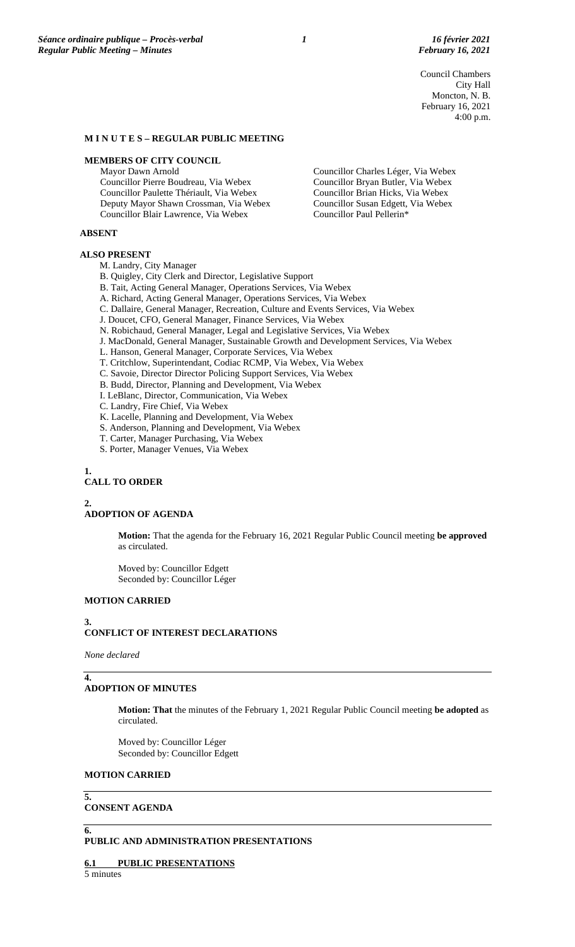Council Chambers City Hall Moncton, N. B. February 16, 2021 4:00 p.m.

#### **M I N U T E S – REGULAR PUBLIC MEETING**

### **MEMBERS OF CITY COUNCIL**

Mayor Dawn Arnold Councillor Pierre Boudreau, Via Webex Councillor Paulette Thériault, Via Webex Deputy Mayor Shawn Crossman, Via Webex

Councillor Blair Lawrence, Via Webex

Councillor Charles Léger, Via Webex Councillor Bryan Butler, Via Webex Councillor Brian Hicks, Via Webex Councillor Susan Edgett, Via Webex Councillor Paul Pellerin\*

#### **ABSENT**

#### **ALSO PRESENT**

- M. Landry, City Manager
- B. Quigley, City Clerk and Director, Legislative Support
- B. Tait, Acting General Manager, Operations Services, Via Webex
- A. Richard, Acting General Manager, Operations Services, Via Webex
- C. Dallaire, General Manager, Recreation, Culture and Events Services, Via Webex
- J. Doucet, CFO, General Manager, Finance Services, Via Webex
- N. Robichaud, General Manager, Legal and Legislative Services, Via Webex
- J. MacDonald, General Manager, Sustainable Growth and Development Services, Via Webex
- L. Hanson, General Manager, Corporate Services, Via Webex
- T. Critchlow, Superintendant, Codiac RCMP, Via Webex, Via Webex
- C. Savoie, Director Director Policing Support Services, Via Webex
- B. Budd, Director, Planning and Development, Via Webex
- I. LeBlanc, Director, Communication, Via Webex
- C. Landry, Fire Chief, Via Webex
- K. Lacelle, Planning and Development, Via Webex
- S. Anderson, Planning and Development, Via Webex
- T. Carter, Manager Purchasing, Via Webex
- S. Porter, Manager Venues, Via Webex

#### **1.**

# **CALL TO ORDER**

#### **2.**

### **ADOPTION OF AGENDA**

**Motion:** That the agenda for the February 16, 2021 Regular Public Council meeting **be approved** as circulated.

Moved by: Councillor Edgett Seconded by: Councillor Léger

# **MOTION CARRIED**

### **3. CONFLICT OF INTEREST DECLARATIONS**

*None declared*

### **ADOPTION OF MINUTES**

**Motion: That** the minutes of the February 1, 2021 Regular Public Council meeting **be adopted** as circulated.

Moved by: Councillor Léger Seconded by: Councillor Edgett

### **MOTION CARRIED**

## **5.**

**4.**

# **CONSENT AGENDA**

# **6.**

# **PUBLIC AND ADMINISTRATION PRESENTATIONS**

# **6.1 PUBLIC PRESENTATIONS**

5 minutes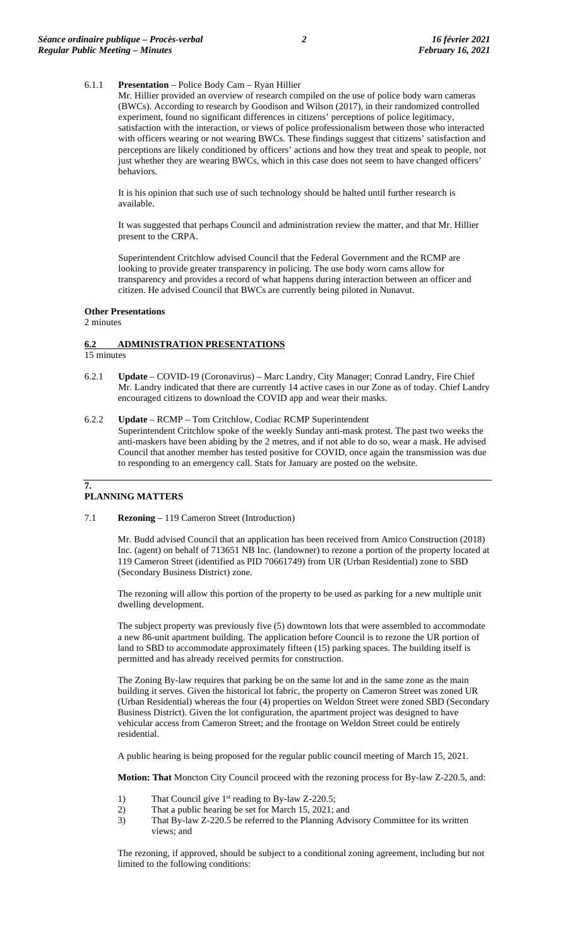### 6.1.1 **Presentation** – Police Body Cam – Ryan Hillier

Mr. Hillier provided an overview of research compiled on the use of police body warn cameras (BWCs). According to research by Goodison and Wilson (2017), in their randomized controlled experiment, found no significant differences in citizens' perceptions of police legitimacy, satisfaction with the interaction, or views of police professionalism between those who interacted with officers wearing or not wearing BWCs. These findings suggest that citizens' satisfaction and perceptions are likely conditioned by officers' actions and how they treat and speak to people, not just whether they are wearing BWCs, which in this case does not seem to have changed officers' behaviors.

It is his opinion that such use of such technology should be halted until further research is available.

It was suggested that perhaps Council and administration review the matter, and that Mr. Hillier present to the CRPA.

Superintendent Critchlow advised Council that the Federal Government and the RCMP are looking to provide greater transparency in policing. The use body worn cams allow for transparency and provides a record of what happens during interaction between an officer and citizen. He advised Council that BWCs are currently being piloted in Nunavut.

### **Other Presentations**

2 minutes

# **6.2 ADMINISTRATION PRESENTATIONS**

15 minutes

- 6.2.1 **Update** COVID-19 (Coronavirus) Marc Landry, City Manager; Conrad Landry, Fire Chief Mr. Landry indicated that there are currently 14 active cases in our Zone as of today. Chief Landry encouraged citizens to download the COVID app and wear their masks.
- 6.2.2 **Update** RCMP Tom Critchlow, Codiac RCMP Superintendent Superintendent Critchlow spoke of the weekly Sunday anti-mask protest. The past two weeks the anti-maskers have been abiding by the 2 metres, and if not able to do so, wear a mask. He advised Council that another member has tested positive for COVID, once again the transmission was due to responding to an emergency call. Stats for January are posted on the website.

#### **7. PLANNING MATTERS**

7.1 **Rezoning** – 119 Cameron Street (Introduction)

Mr. Budd advised Council that an application has been received from Amico Construction (2018) Inc. (agent) on behalf of 713651 NB Inc. (landowner) to rezone a portion of the property located at 119 Cameron Street (identified as PID 70661749) from UR (Urban Residential) zone to SBD (Secondary Business District) zone.

The rezoning will allow this portion of the property to be used as parking for a new multiple unit dwelling development.

The subject property was previously five (5) downtown lots that were assembled to accommodate a new 86-unit apartment building. The application before Council is to rezone the UR portion of land to SBD to accommodate approximately fifteen (15) parking spaces. The building itself is permitted and has already received permits for construction.

The Zoning By-law requires that parking be on the same lot and in the same zone as the main building it serves. Given the historical lot fabric, the property on Cameron Street was zoned UR (Urban Residential) whereas the four (4) properties on Weldon Street were zoned SBD (Secondary Business District). Given the lot configuration, the apartment project was designed to have vehicular access from Cameron Street; and the frontage on Weldon Street could be entirely residential.

A public hearing is being proposed for the regular public council meeting of March 15, 2021.

**Motion: That** Moncton City Council proceed with the rezoning process for By-law Z-220.5, and:

- 1) That Council give  $1<sup>st</sup>$  reading to By-law Z-220.5;
- 2) That a public hearing be set for March 15, 2021; and
- 3) That By-law Z-220.5 be referred to the Planning Advisory Committee for its written views; and

The rezoning, if approved, should be subject to a conditional zoning agreement, including but not limited to the following conditions: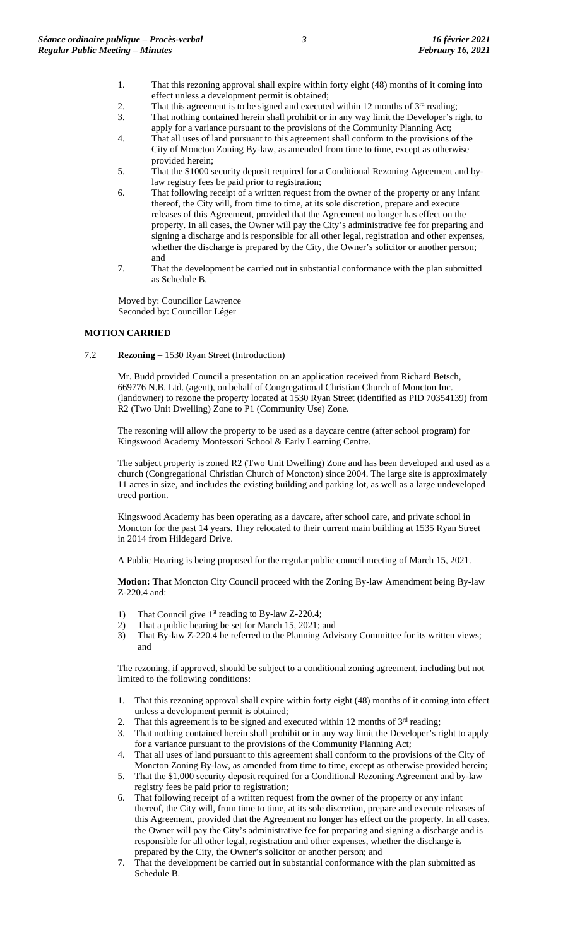- 1. That this rezoning approval shall expire within forty eight (48) months of it coming into effect unless a development permit is obtained;
- 2. That this agreement is to be signed and executed within 12 months of  $3<sup>rd</sup>$  reading;<br>3. That nothing contained herein shall prohibit or in any way limit the Developer's r
- That nothing contained herein shall prohibit or in any way limit the Developer's right to apply for a variance pursuant to the provisions of the Community Planning Act;
- 4. That all uses of land pursuant to this agreement shall conform to the provisions of the City of Moncton Zoning By-law, as amended from time to time, except as otherwise provided herein;
- 5. That the \$1000 security deposit required for a Conditional Rezoning Agreement and bylaw registry fees be paid prior to registration;
- 6. That following receipt of a written request from the owner of the property or any infant thereof, the City will, from time to time, at its sole discretion, prepare and execute releases of this Agreement, provided that the Agreement no longer has effect on the property. In all cases, the Owner will pay the City's administrative fee for preparing and signing a discharge and is responsible for all other legal, registration and other expenses, whether the discharge is prepared by the City, the Owner's solicitor or another person; and
- 7. That the development be carried out in substantial conformance with the plan submitted as Schedule B.

Moved by: Councillor Lawrence Seconded by: Councillor Léger

# **MOTION CARRIED**

7.2 **Rezoning** – 1530 Ryan Street (Introduction)

Mr. Budd provided Council a presentation on an application received from Richard Betsch, 669776 N.B. Ltd. (agent), on behalf of Congregational Christian Church of Moncton Inc. (landowner) to rezone the property located at 1530 Ryan Street (identified as PID 70354139) from R2 (Two Unit Dwelling) Zone to P1 (Community Use) Zone.

The rezoning will allow the property to be used as a daycare centre (after school program) for Kingswood Academy Montessori School & Early Learning Centre.

The subject property is zoned R2 (Two Unit Dwelling) Zone and has been developed and used as a church (Congregational Christian Church of Moncton) since 2004. The large site is approximately 11 acres in size, and includes the existing building and parking lot, as well as a large undeveloped treed portion.

Kingswood Academy has been operating as a daycare, after school care, and private school in Moncton for the past 14 years. They relocated to their current main building at 1535 Ryan Street in 2014 from Hildegard Drive.

A Public Hearing is being proposed for the regular public council meeting of March 15, 2021.

**Motion: That** Moncton City Council proceed with the Zoning By-law Amendment being By-law Z-220.4 and:

- 1) That Council give  $1<sup>st</sup>$  reading to By-law Z-220.4;
- 2) That a public hearing be set for March 15, 2021; and
- 3) That By-law Z-220.4 be referred to the Planning Advisory Committee for its written views; and

The rezoning, if approved, should be subject to a conditional zoning agreement, including but not limited to the following conditions:

- 1. That this rezoning approval shall expire within forty eight (48) months of it coming into effect unless a development permit is obtained;
- 2. That this agreement is to be signed and executed within 12 months of  $3<sup>rd</sup>$  reading;
- 3. That nothing contained herein shall prohibit or in any way limit the Developer's right to apply for a variance pursuant to the provisions of the Community Planning Act;
- 4. That all uses of land pursuant to this agreement shall conform to the provisions of the City of Moncton Zoning By-law, as amended from time to time, except as otherwise provided herein;
- 5. That the \$1,000 security deposit required for a Conditional Rezoning Agreement and by-law registry fees be paid prior to registration;
- 6. That following receipt of a written request from the owner of the property or any infant thereof, the City will, from time to time, at its sole discretion, prepare and execute releases of this Agreement, provided that the Agreement no longer has effect on the property. In all cases, the Owner will pay the City's administrative fee for preparing and signing a discharge and is responsible for all other legal, registration and other expenses, whether the discharge is prepared by the City, the Owner's solicitor or another person; and
- 7. That the development be carried out in substantial conformance with the plan submitted as Schedule B.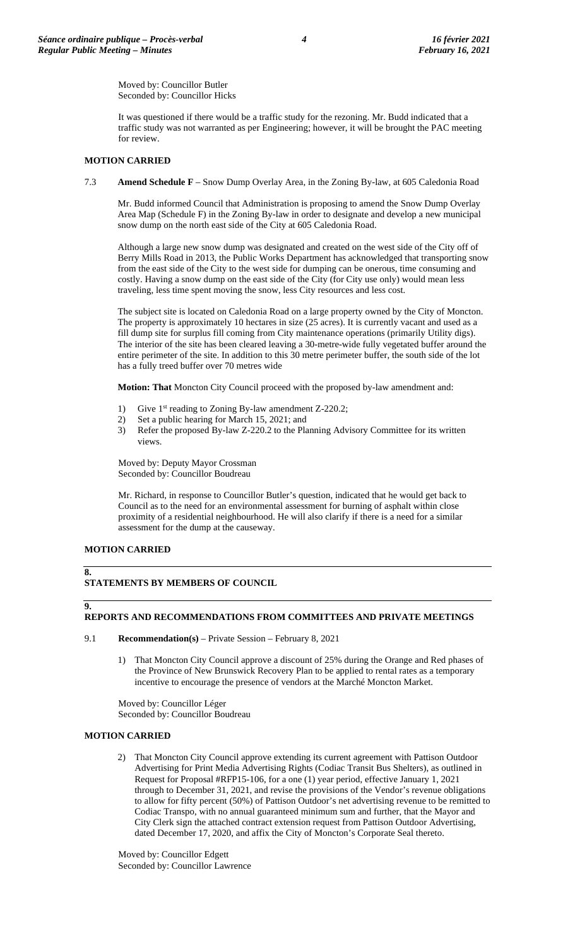Moved by: Councillor Butler Seconded by: Councillor Hicks

It was questioned if there would be a traffic study for the rezoning. Mr. Budd indicated that a traffic study was not warranted as per Engineering; however, it will be brought the PAC meeting for review.

# **MOTION CARRIED**

7.3 **Amend Schedule F** – Snow Dump Overlay Area, in the Zoning By-law, at 605 Caledonia Road

Mr. Budd informed Council that Administration is proposing to amend the Snow Dump Overlay Area Map (Schedule F) in the Zoning By-law in order to designate and develop a new municipal snow dump on the north east side of the City at 605 Caledonia Road.

Although a large new snow dump was designated and created on the west side of the City off of Berry Mills Road in 2013, the Public Works Department has acknowledged that transporting snow from the east side of the City to the west side for dumping can be onerous, time consuming and costly. Having a snow dump on the east side of the City (for City use only) would mean less traveling, less time spent moving the snow, less City resources and less cost.

The subject site is located on Caledonia Road on a large property owned by the City of Moncton. The property is approximately 10 hectares in size (25 acres). It is currently vacant and used as a fill dump site for surplus fill coming from City maintenance operations (primarily Utility digs). The interior of the site has been cleared leaving a 30-metre-wide fully vegetated buffer around the entire perimeter of the site. In addition to this 30 metre perimeter buffer, the south side of the lot has a fully treed buffer over 70 metres wide

**Motion: That** Moncton City Council proceed with the proposed by-law amendment and:

- 1) Give  $1^{st}$  reading to Zoning By-law amendment Z-220.2;
- 2) Set a public hearing for March 15, 2021; and
- 3) Refer the proposed By-law Z-220.2 to the Planning Advisory Committee for its written views.

Moved by: Deputy Mayor Crossman Seconded by: Councillor Boudreau

Mr. Richard, in response to Councillor Butler's question, indicated that he would get back to Council as to the need for an environmental assessment for burning of asphalt within close proximity of a residential neighbourhood. He will also clarify if there is a need for a similar assessment for the dump at the causeway.

### **MOTION CARRIED**

# **8.**

# **STATEMENTS BY MEMBERS OF COUNCIL**

### **9.**

# **REPORTS AND RECOMMENDATIONS FROM COMMITTEES AND PRIVATE MEETINGS**

- 9.1 **Recommendation(s)** Private Session February 8, 2021
	- 1) That Moncton City Council approve a discount of 25% during the Orange and Red phases of the Province of New Brunswick Recovery Plan to be applied to rental rates as a temporary incentive to encourage the presence of vendors at the Marché Moncton Market.

Moved by: Councillor Léger Seconded by: Councillor Boudreau

# **MOTION CARRIED**

2) That Moncton City Council approve extending its current agreement with Pattison Outdoor Advertising for Print Media Advertising Rights (Codiac Transit Bus Shelters), as outlined in Request for Proposal #RFP15-106, for a one (1) year period, effective January 1, 2021 through to December 31, 2021, and revise the provisions of the Vendor's revenue obligations to allow for fifty percent (50%) of Pattison Outdoor's net advertising revenue to be remitted to Codiac Transpo, with no annual guaranteed minimum sum and further, that the Mayor and City Clerk sign the attached contract extension request from Pattison Outdoor Advertising, dated December 17, 2020, and affix the City of Moncton's Corporate Seal thereto.

Moved by: Councillor Edgett Seconded by: Councillor Lawrence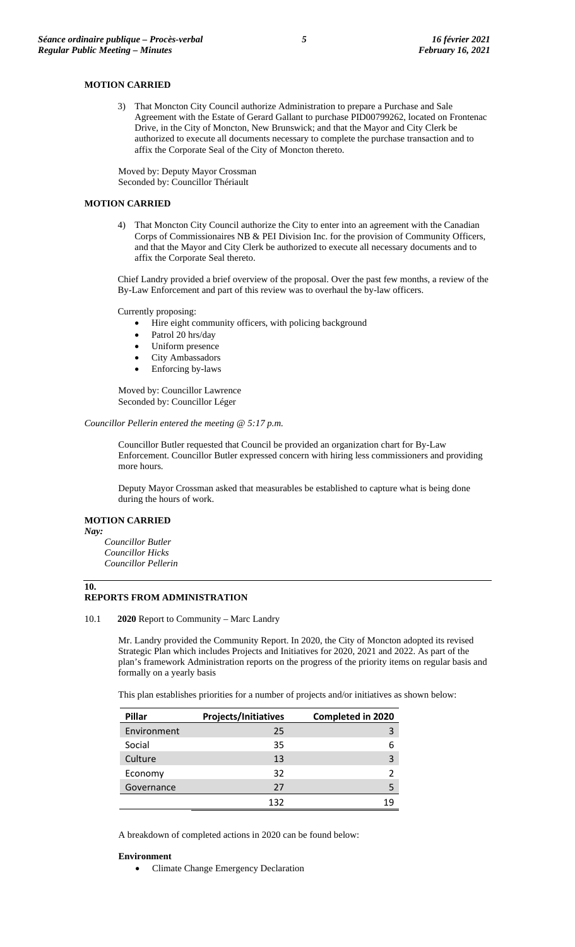### **MOTION CARRIED**

3) That Moncton City Council authorize Administration to prepare a Purchase and Sale Agreement with the Estate of Gerard Gallant to purchase PID00799262, located on Frontenac Drive, in the City of Moncton, New Brunswick; and that the Mayor and City Clerk be authorized to execute all documents necessary to complete the purchase transaction and to affix the Corporate Seal of the City of Moncton thereto.

Moved by: Deputy Mayor Crossman Seconded by: Councillor Thériault

#### **MOTION CARRIED**

4) That Moncton City Council authorize the City to enter into an agreement with the Canadian Corps of Commissionaires NB & PEI Division Inc. for the provision of Community Officers, and that the Mayor and City Clerk be authorized to execute all necessary documents and to affix the Corporate Seal thereto.

Chief Landry provided a brief overview of the proposal. Over the past few months, a review of the By-Law Enforcement and part of this review was to overhaul the by-law officers.

Currently proposing:

- Hire eight community officers, with policing background
- Patrol 20 hrs/day
- Uniform presence
- City Ambassadors
- Enforcing by-laws

Moved by: Councillor Lawrence Seconded by: Councillor Léger

*Councillor Pellerin entered the meeting @ 5:17 p.m.*

Councillor Butler requested that Council be provided an organization chart for By-Law Enforcement. Councillor Butler expressed concern with hiring less commissioners and providing more hours.

Deputy Mayor Crossman asked that measurables be established to capture what is being done during the hours of work.

### **MOTION CARRIED**

*Nay:*

*Councillor Butler Councillor Hicks Councillor Pellerin*

#### **10. REPORTS FROM ADMINISTRATION**

10.1 **2020** Report to Community – Marc Landry

Mr. Landry provided the Community Report. In 2020, the City of Moncton adopted its revised Strategic Plan which includes Projects and Initiatives for 2020, 2021 and 2022. As part of the plan's framework Administration reports on the progress of the priority items on regular basis and formally on a yearly basis

This plan establishes priorities for a number of projects and/or initiatives as shown below:

| Pillar      | Projects/Initiatives | <b>Completed in 2020</b> |
|-------------|----------------------|--------------------------|
| Environment | 25                   |                          |
| Social      | 35                   |                          |
| Culture     | 13                   |                          |
| Economy     | 32                   |                          |
| Governance  | 27                   |                          |
|             | 132                  |                          |

A breakdown of completed actions in 2020 can be found below:

#### **Environment**

• Climate Change Emergency Declaration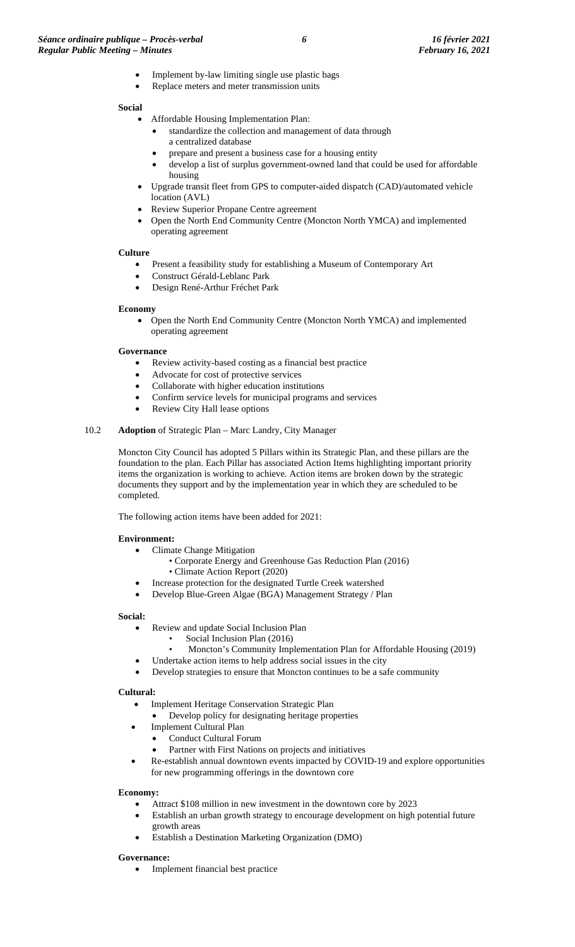- Implement by-law limiting single use plastic bags
- Replace meters and meter transmission units

# **Social**

- Affordable Housing Implementation Plan:
	- standardize the collection and management of data through a centralized database
	- prepare and present a business case for a housing entity
	- develop a list of surplus government-owned land that could be used for affordable housing
- Upgrade transit fleet from GPS to computer-aided dispatch (CAD)/automated vehicle location (AVL)
- Review Superior Propane Centre agreement
- Open the North End Community Centre (Moncton North YMCA) and implemented operating agreement

### **Culture**

- Present a feasibility study for establishing a Museum of Contemporary Art
- Construct Gérald-Leblanc Park
- Design René-Arthur Fréchet Park

### **Economy**

• Open the North End Community Centre (Moncton North YMCA) and implemented operating agreement

### **Governance**

- Review activity-based costing as a financial best practice
- Advocate for cost of protective services
- Collaborate with higher education institutions
- Confirm service levels for municipal programs and services
- Review City Hall lease options

# 10.2 **Adoption** of Strategic Plan – Marc Landry, City Manager

Moncton City Council has adopted 5 Pillars within its Strategic Plan, and these pillars are the foundation to the plan. Each Pillar has associated Action Items highlighting important priority items the organization is working to achieve. Action items are broken down by the strategic documents they support and by the implementation year in which they are scheduled to be completed.

The following action items have been added for 2021:

# **Environment:**

- Climate Change Mitigation
	- Corporate Energy and Greenhouse Gas Reduction Plan (2016)
	- Climate Action Report (2020)
	- Increase protection for the designated Turtle Creek watershed
	- Develop Blue-Green Algae (BGA) Management Strategy / Plan

### **Social:**

- Review and update Social Inclusion Plan
	- Social Inclusion Plan (2016)
	- Moncton's Community Implementation Plan for Affordable Housing (2019)
	- Undertake action items to help address social issues in the city
- Develop strategies to ensure that Moncton continues to be a safe community

### **Cultural:**

- Implement Heritage Conservation Strategic Plan
	- Develop policy for designating heritage properties
	- Implement Cultural Plan
		- Conduct Cultural Forum
	- Partner with First Nations on projects and initiatives
- Re-establish annual downtown events impacted by COVID-19 and explore opportunities for new programming offerings in the downtown core

### **Economy:**

- Attract \$108 million in new investment in the downtown core by 2023
	- Establish an urban growth strategy to encourage development on high potential future growth areas
- Establish a Destination Marketing Organization (DMO)

### **Governance:**

• Implement financial best practice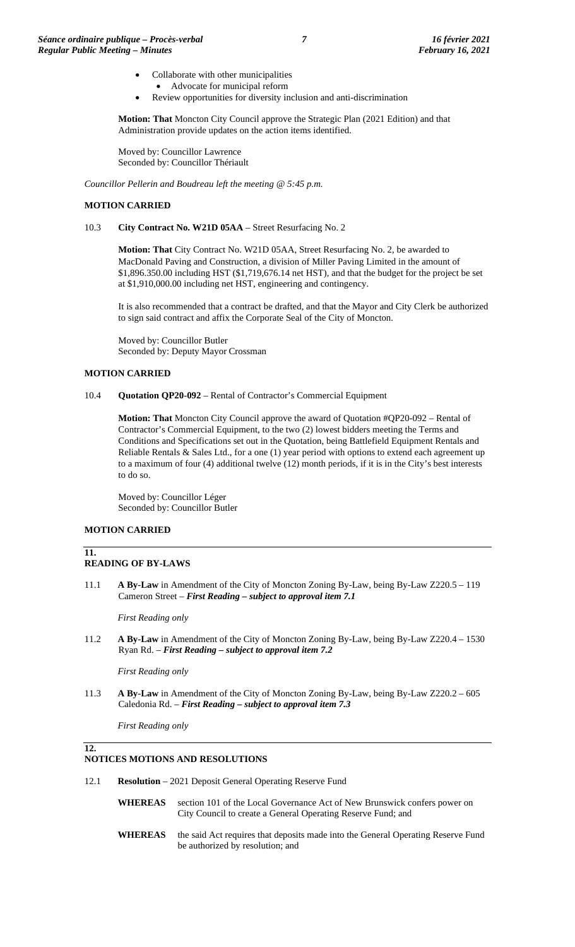- Collaborate with other municipalities
- Advocate for municipal reform

• Review opportunities for diversity inclusion and anti-discrimination

**Motion: That** Moncton City Council approve the Strategic Plan (2021 Edition) and that Administration provide updates on the action items identified.

Moved by: Councillor Lawrence Seconded by: Councillor Thériault

*Councillor Pellerin and Boudreau left the meeting @ 5:45 p.m.*

### **MOTION CARRIED**

10.3 **City Contract No. W21D 05AA** – Street Resurfacing No. 2

**Motion: That** City Contract No. W21D 05AA, Street Resurfacing No. 2, be awarded to MacDonald Paving and Construction, a division of Miller Paving Limited in the amount of \$1,896.350.00 including HST (\$1,719,676.14 net HST), and that the budget for the project be set at \$1,910,000.00 including net HST, engineering and contingency.

It is also recommended that a contract be drafted, and that the Mayor and City Clerk be authorized to sign said contract and affix the Corporate Seal of the City of Moncton.

Moved by: Councillor Butler Seconded by: Deputy Mayor Crossman

### **MOTION CARRIED**

10.4 **Quotation QP20-092** – Rental of Contractor's Commercial Equipment

**Motion: That** Moncton City Council approve the award of Quotation #QP20-092 – Rental of Contractor's Commercial Equipment, to the two (2) lowest bidders meeting the Terms and Conditions and Specifications set out in the Quotation, being Battlefield Equipment Rentals and Reliable Rentals & Sales Ltd., for a one (1) year period with options to extend each agreement up to a maximum of four (4) additional twelve (12) month periods, if it is in the City's best interests to do so.

Moved by: Councillor Léger Seconded by: Councillor Butler

# **MOTION CARRIED**

#### **11. READING OF BY-LAWS**

11.1 **A By-Law** in Amendment of the City of Moncton Zoning By-Law, being By-Law Z220.5 – 119 Cameron Street – *First Reading – subject to approval item 7.1*

*First Reading only*

11.2 **A By-Law** in Amendment of the City of Moncton Zoning By-Law, being By-Law Z220.4 – 1530 Ryan Rd. – *First Reading – subject to approval item 7.2*

*First Reading only*

11.3 **A By-Law** in Amendment of the City of Moncton Zoning By-Law, being By-Law Z220.2 – 605 Caledonia Rd. – *First Reading – subject to approval item 7.3*

*First Reading only*

**12.**

# **NOTICES MOTIONS AND RESOLUTIONS**

12.1 **Resolution** – 2021 Deposit General Operating Reserve Fund

- **WHEREAS** section 101 of the Local Governance Act of New Brunswick confers power on City Council to create a General Operating Reserve Fund; and
- **WHEREAS** the said Act requires that deposits made into the General Operating Reserve Fund be authorized by resolution; and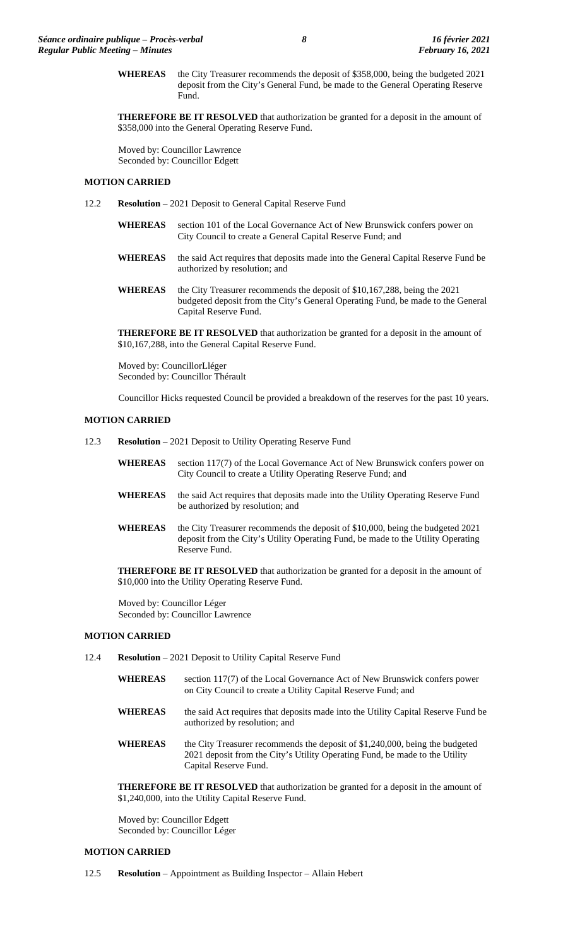**WHEREAS** the City Treasurer recommends the deposit of \$358,000, being the budgeted 2021 deposit from the City's General Fund, be made to the General Operating Reserve Fund.

**THEREFORE BE IT RESOLVED** that authorization be granted for a deposit in the amount of \$358,000 into the General Operating Reserve Fund.

Moved by: Councillor Lawrence Seconded by: Councillor Edgett

### **MOTION CARRIED**

- 12.2 **Resolution** 2021 Deposit to General Capital Reserve Fund
	- **WHEREAS** section 101 of the Local Governance Act of New Brunswick confers power on City Council to create a General Capital Reserve Fund; and
	- **WHEREAS** the said Act requires that deposits made into the General Capital Reserve Fund be authorized by resolution; and
	- **WHEREAS** the City Treasurer recommends the deposit of \$10,167,288, being the 2021 budgeted deposit from the City's General Operating Fund, be made to the General Capital Reserve Fund.

**THEREFORE BE IT RESOLVED** that authorization be granted for a deposit in the amount of \$10,167,288, into the General Capital Reserve Fund.

Moved by: CouncillorLléger Seconded by: Councillor Thérault

Councillor Hicks requested Council be provided a breakdown of the reserves for the past 10 years.

### **MOTION CARRIED**

- 12.3 **Resolution** 2021 Deposit to Utility Operating Reserve Fund
	- **WHEREAS** section 117(7) of the Local Governance Act of New Brunswick confers power on City Council to create a Utility Operating Reserve Fund; and
	- **WHEREAS** the said Act requires that deposits made into the Utility Operating Reserve Fund be authorized by resolution; and
	- **WHEREAS** the City Treasurer recommends the deposit of \$10,000, being the budgeted 2021 deposit from the City's Utility Operating Fund, be made to the Utility Operating Reserve Fund.

**THEREFORE BE IT RESOLVED** that authorization be granted for a deposit in the amount of \$10,000 into the Utility Operating Reserve Fund.

Moved by: Councillor Léger Seconded by: Councillor Lawrence

# **MOTION CARRIED**

- 12.4 **Resolution** 2021 Deposit to Utility Capital Reserve Fund
	- **WHEREAS** section 117(7) of the Local Governance Act of New Brunswick confers power on City Council to create a Utility Capital Reserve Fund; and
	- **WHEREAS** the said Act requires that deposits made into the Utility Capital Reserve Fund be authorized by resolution; and
	- WHEREAS the City Treasurer recommends the deposit of \$1,240,000, being the budgeted 2021 deposit from the City's Utility Operating Fund, be made to the Utility Capital Reserve Fund.

**THEREFORE BE IT RESOLVED** that authorization be granted for a deposit in the amount of \$1,240,000, into the Utility Capital Reserve Fund.

Moved by: Councillor Edgett Seconded by: Councillor Léger

# **MOTION CARRIED**

12.5 **Resolution** – Appointment as Building Inspector – Allain Hebert